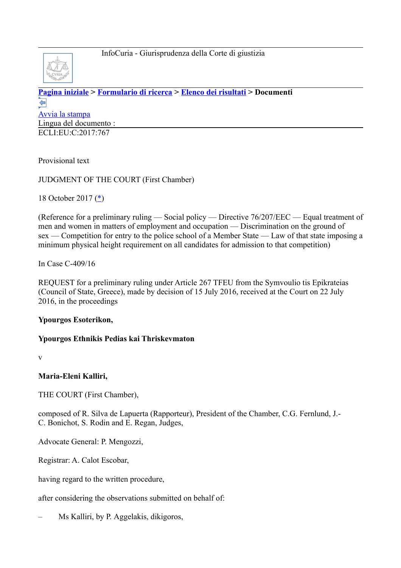

**[Pagina iniziale](http://curia.europa.eu/jcms/jcms/j_6?PortalAction_x_000_userLang=it) > [Formulario di ricerca](http://curia.europa.eu/juris/document/document.jsf?doclang=EN&text=&pageIndex=0&part=1&mode=lst&docid=195664&occ=first&dir=&actionMethod=document%2Fdocument.xhtml%3AformController.resetAction&cid=137580) > [Elenco dei risultati](http://curia.europa.eu/juris/documents.jsf?pro=&lgrec=it&nat=or&oqp=&lg=&dates=&language=it&jur=C%2CT%2CF&cit=none%252CC%252CCJ%252CR%252C2008E%252C%252C%252C%252C%252C%252C%252C%252C%252C%252Ctrue%252Cfalse%252Cfalse&num=C-409%252F16&td=%3BALL&pcs=Oor&avg=&page=1&mat=or&jge=&for=&cid=137580) > Documenti**  ⇚ [Avvia la stampa](http://curia.europa.eu/juris/document/document_print.jsf?doclang=EN&text=&pageIndex=0&part=1&mode=lst&docid=195664&occ=first&dir=&cid=137580) Lingua del documento : ECLI:EU:C:2017:767

Provisional text

JUDGMENT OF THE COURT (First Chamber)

18 October 2017 [\(\\*\)](http://curia.europa.eu/juris/document/document.jsf?text=&docid=195664&pageIndex=0&doclang=EN&mode=lst&dir=&occ=first&part=1&cid=137580#Footnote*)

(Reference for a preliminary ruling — Social policy — Directive 76/207/EEC — Equal treatment of men and women in matters of employment and occupation — Discrimination on the ground of sex — Competition for entry to the police school of a Member State — Law of that state imposing a minimum physical height requirement on all candidates for admission to that competition)

In Case C-409/16

REQUEST for a preliminary ruling under Article 267 TFEU from the Symvoulio tis Epikrateias (Council of State, Greece), made by decision of 15 July 2016, received at the Court on 22 July 2016, in the proceedings

### **Ypourgos Esoterikon,**

### **Ypourgos Ethnikis Pedias kai Thriskevmaton**

v

**Maria-Eleni Kalliri,**

THE COURT (First Chamber),

composed of R. Silva de Lapuerta (Rapporteur), President of the Chamber, C.G. Fernlund, J.- C. Bonichot, S. Rodin and E. Regan, Judges,

Advocate General: P. Mengozzi,

Registrar: A. Calot Escobar,

having regard to the written procedure,

after considering the observations submitted on behalf of:

– Ms Kalliri, by P. Aggelakis, dikigoros,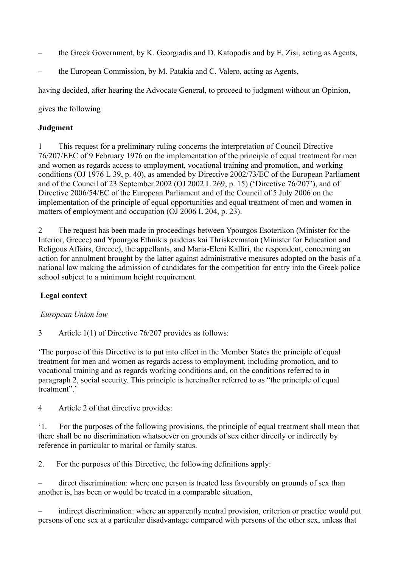- the Greek Government, by K. Georgiadis and D. Katopodis and by E. Zisi, acting as Agents,
- the European Commission, by M. Patakia and C. Valero, acting as Agents,

having decided, after hearing the Advocate General, to proceed to judgment without an Opinion,

gives the following

### **Judgment**

1 This request for a preliminary ruling concerns the interpretation of Council Directive 76/207/EEC of 9 February 1976 on the implementation of the principle of equal treatment for men and women as regards access to employment, vocational training and promotion, and working conditions (OJ 1976 L 39, p. 40), as amended by Directive 2002/73/EC of the European Parliament and of the Council of 23 September 2002 (OJ 2002 L 269, p. 15) ('Directive 76/207'), and of Directive 2006/54/EC of the European Parliament and of the Council of 5 July 2006 on the implementation of the principle of equal opportunities and equal treatment of men and women in matters of employment and occupation (OJ 2006 L 204, p. 23).

2 The request has been made in proceedings between Ypourgos Esoterikon (Minister for the Interior, Greece) and Ypourgos Ethnikis paideias kai Thriskevmaton (Minister for Education and Religous Affairs, Greece), the appellants, and Maria-Eleni Kalliri, the respondent, concerning an action for annulment brought by the latter against administrative measures adopted on the basis of a national law making the admission of candidates for the competition for entry into the Greek police school subject to a minimum height requirement.

### **Legal context**

### *European Union law*

3 Article 1(1) of Directive 76/207 provides as follows:

'The purpose of this Directive is to put into effect in the Member States the principle of equal treatment for men and women as regards access to employment, including promotion, and to vocational training and as regards working conditions and, on the conditions referred to in paragraph 2, social security. This principle is hereinafter referred to as "the principle of equal treatment"'

4 Article 2 of that directive provides:

'1. For the purposes of the following provisions, the principle of equal treatment shall mean that there shall be no discrimination whatsoever on grounds of sex either directly or indirectly by reference in particular to marital or family status.

2. For the purposes of this Directive, the following definitions apply:

– direct discrimination: where one person is treated less favourably on grounds of sex than another is, has been or would be treated in a comparable situation,

– indirect discrimination: where an apparently neutral provision, criterion or practice would put persons of one sex at a particular disadvantage compared with persons of the other sex, unless that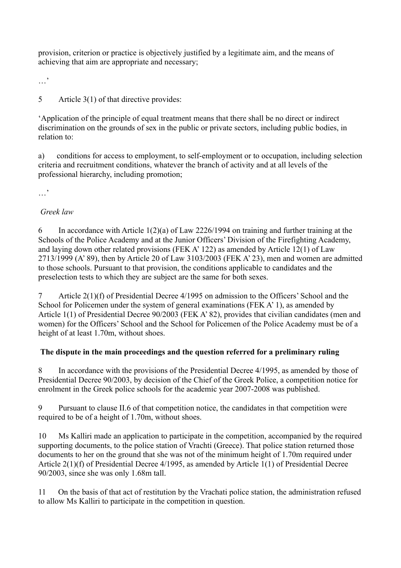provision, criterion or practice is objectively justified by a legitimate aim, and the means of achieving that aim are appropriate and necessary;

…'

5 Article 3(1) of that directive provides:

'Application of the principle of equal treatment means that there shall be no direct or indirect discrimination on the grounds of sex in the public or private sectors, including public bodies, in relation to:

a) conditions for access to employment, to self-employment or to occupation, including selection criteria and recruitment conditions, whatever the branch of activity and at all levels of the professional hierarchy, including promotion;

 $\mathbb{R}^{\bullet}$ 

# *Greek law*

6 In accordance with Article 1(2)(a) of Law 2226/1994 on training and further training at the Schools of the Police Academy and at the Junior Officers' Division of the Firefighting Academy, and laying down other related provisions (FEK A' 122) as amended by Article 12(1) of Law 2713/1999 (A' 89), then by Article 20 of Law 3103/2003 (FEK A' 23), men and women are admitted to those schools. Pursuant to that provision, the conditions applicable to candidates and the preselection tests to which they are subject are the same for both sexes.

7 Article 2(1)(f) of Presidential Decree 4/1995 on admission to the Officers' School and the School for Policemen under the system of general examinations (FEK A' 1), as amended by Article 1(1) of Presidential Decree 90/2003 (FEK A' 82), provides that civilian candidates (men and women) for the Officers' School and the School for Policemen of the Police Academy must be of a height of at least 1.70m, without shoes.

# **The dispute in the main proceedings and the question referred for a preliminary ruling**

8 In accordance with the provisions of the Presidential Decree 4/1995, as amended by those of Presidential Decree 90/2003, by decision of the Chief of the Greek Police, a competition notice for enrolment in the Greek police schools for the academic year 2007-2008 was published.

9 Pursuant to clause II.6 of that competition notice, the candidates in that competition were required to be of a height of 1.70m, without shoes.

10 Ms Kalliri made an application to participate in the competition, accompanied by the required supporting documents, to the police station of Vrachti (Greece). That police station returned those documents to her on the ground that she was not of the minimum height of 1.70m required under Article 2(1)(f) of Presidential Decree 4/1995, as amended by Article 1(1) of Presidential Decree 90/2003, since she was only 1.68m tall.

11 On the basis of that act of restitution by the Vrachati police station, the administration refused to allow Ms Kalliri to participate in the competition in question.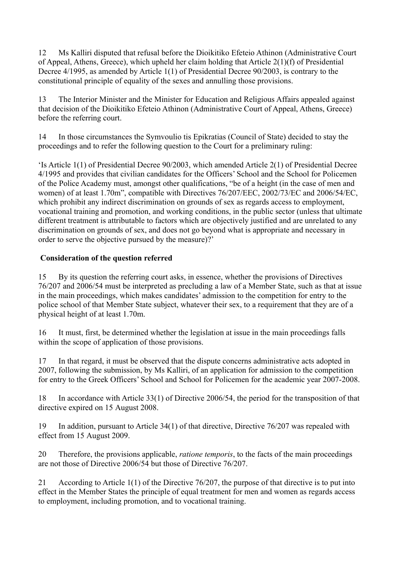12 Ms Kalliri disputed that refusal before the Dioikitiko Efeteio Athinon (Administrative Court of Appeal, Athens, Greece), which upheld her claim holding that Article 2(1)(f) of Presidential Decree 4/1995, as amended by Article 1(1) of Presidential Decree 90/2003, is contrary to the constitutional principle of equality of the sexes and annulling those provisions.

13 The Interior Minister and the Minister for Education and Religious Affairs appealed against that decision of the Dioikitiko Efeteio Athinon (Administrative Court of Appeal, Athens, Greece) before the referring court.

14 In those circumstances the Symvoulio tis Epikratias (Council of State) decided to stay the proceedings and to refer the following question to the Court for a preliminary ruling:

'Is Article 1(1) of Presidential Decree 90/2003, which amended Article 2(1) of Presidential Decree 4/1995 and provides that civilian candidates for the Officers' School and the School for Policemen of the Police Academy must, amongst other qualifications, "be of a height (in the case of men and women) of at least 1.70m", compatible with Directives 76/207/EEC, 2002/73/EC and 2006/54/EC, which prohibit any indirect discrimination on grounds of sex as regards access to employment, vocational training and promotion, and working conditions, in the public sector (unless that ultimate different treatment is attributable to factors which are objectively justified and are unrelated to any discrimination on grounds of sex, and does not go beyond what is appropriate and necessary in order to serve the objective pursued by the measure)?'

# **Consideration of the question referred**

15 By its question the referring court asks, in essence, whether the provisions of Directives 76/207 and 2006/54 must be interpreted as precluding a law of a Member State, such as that at issue in the main proceedings, which makes candidates' admission to the competition for entry to the police school of that Member State subject, whatever their sex, to a requirement that they are of a physical height of at least 1.70m.

16 It must, first, be determined whether the legislation at issue in the main proceedings falls within the scope of application of those provisions.

17 In that regard, it must be observed that the dispute concerns administrative acts adopted in 2007, following the submission, by Ms Kalliri, of an application for admission to the competition for entry to the Greek Officers' School and School for Policemen for the academic year 2007-2008.

18 In accordance with Article 33(1) of Directive 2006/54, the period for the transposition of that directive expired on 15 August 2008.

19 In addition, pursuant to Article 34(1) of that directive, Directive 76/207 was repealed with effect from 15 August 2009.

20 Therefore, the provisions applicable, *ratione temporis*, to the facts of the main proceedings are not those of Directive 2006/54 but those of Directive 76/207.

21 According to Article 1(1) of the Directive 76/207, the purpose of that directive is to put into effect in the Member States the principle of equal treatment for men and women as regards access to employment, including promotion, and to vocational training.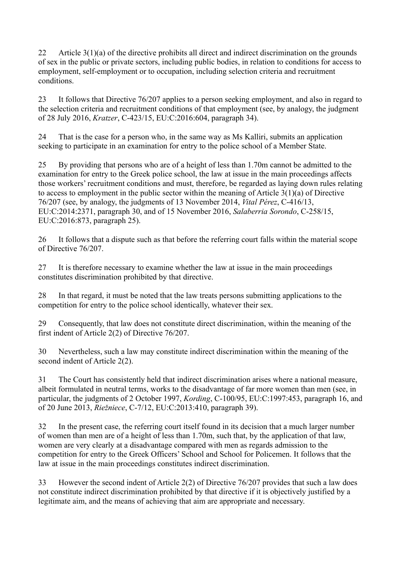22 Article 3(1)(a) of the directive prohibits all direct and indirect discrimination on the grounds of sex in the public or private sectors, including public bodies, in relation to conditions for access to employment, self-employment or to occupation, including selection criteria and recruitment conditions.

23 It follows that Directive 76/207 applies to a person seeking employment, and also in regard to the selection criteria and recruitment conditions of that employment (see, by analogy, the judgment of 28 July 2016, *Kratzer*, C-423/15, EU:C:2016:604, paragraph 34).

24 That is the case for a person who, in the same way as Ms Kalliri, submits an application seeking to participate in an examination for entry to the police school of a Member State.

25 By providing that persons who are of a height of less than 1.70m cannot be admitted to the examination for entry to the Greek police school, the law at issue in the main proceedings affects those workers' recruitment conditions and must, therefore, be regarded as laying down rules relating to access to employment in the public sector within the meaning of Article 3(1)(a) of Directive 76/207 (see, by analogy, the judgments of 13 November 2014, *Vital Pérez*, C-416/13, EU:C:2014:2371, paragraph 30, and of 15 November 2016, *Salaberria Sorondo*, C-258/15, EU:C:2016:873, paragraph 25).

26 It follows that a dispute such as that before the referring court falls within the material scope of Directive 76/207.

27 It is therefore necessary to examine whether the law at issue in the main proceedings constitutes discrimination prohibited by that directive.

28 In that regard, it must be noted that the law treats persons submitting applications to the competition for entry to the police school identically, whatever their sex.

29 Consequently, that law does not constitute direct discrimination, within the meaning of the first indent of Article 2(2) of Directive 76/207.

30 Nevertheless, such a law may constitute indirect discrimination within the meaning of the second indent of Article 2(2).

31 The Court has consistently held that indirect discrimination arises where a national measure, albeit formulated in neutral terms, works to the disadvantage of far more women than men (see, in particular, the judgments of 2 October 1997, *Kording*, C-100/95, EU:C:1997:453, paragraph 16, and of 20 June 2013, *Riežniece*, C-7/12, EU:C:2013:410, paragraph 39).

32 In the present case, the referring court itself found in its decision that a much larger number of women than men are of a height of less than 1.70m, such that, by the application of that law, women are very clearly at a disadvantage compared with men as regards admission to the competition for entry to the Greek Officers' School and School for Policemen. It follows that the law at issue in the main proceedings constitutes indirect discrimination.

33 However the second indent of Article 2(2) of Directive 76/207 provides that such a law does not constitute indirect discrimination prohibited by that directive if it is objectively justified by a legitimate aim, and the means of achieving that aim are appropriate and necessary.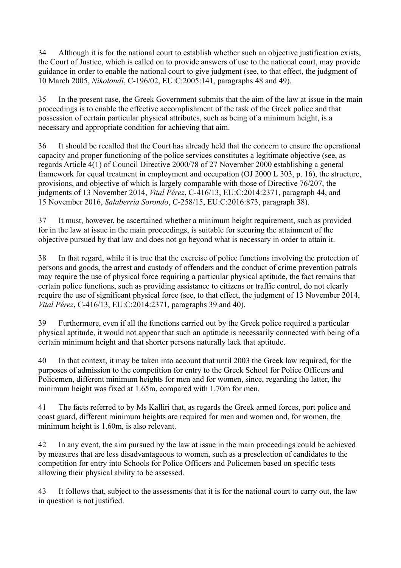34 Although it is for the national court to establish whether such an objective justification exists, the Court of Justice, which is called on to provide answers of use to the national court, may provide guidance in order to enable the national court to give judgment (see, to that effect, the judgment of 10 March 2005, *Nikoloudi*, C-196/02, EU:C:2005:141, paragraphs 48 and 49).

35 In the present case, the Greek Government submits that the aim of the law at issue in the main proceedings is to enable the effective accomplishment of the task of the Greek police and that possession of certain particular physical attributes, such as being of a minimum height, is a necessary and appropriate condition for achieving that aim.

36 It should be recalled that the Court has already held that the concern to ensure the operational capacity and proper functioning of the police services constitutes a legitimate objective (see, as regards Article 4(1) of Council Directive 2000/78 of 27 November 2000 establishing a general framework for equal treatment in employment and occupation (OJ 2000 L 303, p. 16), the structure, provisions, and objective of which is largely comparable with those of Directive 76/207, the judgments of 13 November 2014, *Vital Pérez*, C-416/13, EU:C:2014:2371, paragraph 44, and 15 November 2016, *Salaberria Sorondo*, C-258/15, EU:C:2016:873, paragraph 38).

37 It must, however, be ascertained whether a minimum height requirement, such as provided for in the law at issue in the main proceedings, is suitable for securing the attainment of the objective pursued by that law and does not go beyond what is necessary in order to attain it.

38 In that regard, while it is true that the exercise of police functions involving the protection of persons and goods, the arrest and custody of offenders and the conduct of crime prevention patrols may require the use of physical force requiring a particular physical aptitude, the fact remains that certain police functions, such as providing assistance to citizens or traffic control, do not clearly require the use of significant physical force (see, to that effect, the judgment of 13 November 2014, *Vital Pérez*, C-416/13, EU:C:2014:2371, paragraphs 39 and 40).

39 Furthermore, even if all the functions carried out by the Greek police required a particular physical aptitude, it would not appear that such an aptitude is necessarily connected with being of a certain minimum height and that shorter persons naturally lack that aptitude.

40 In that context, it may be taken into account that until 2003 the Greek law required, for the purposes of admission to the competition for entry to the Greek School for Police Officers and Policemen, different minimum heights for men and for women, since, regarding the latter, the minimum height was fixed at 1.65m, compared with 1.70m for men.

41 The facts referred to by Ms Kalliri that, as regards the Greek armed forces, port police and coast guard, different minimum heights are required for men and women and, for women, the minimum height is 1.60m, is also relevant.

42 In any event, the aim pursued by the law at issue in the main proceedings could be achieved by measures that are less disadvantageous to women, such as a preselection of candidates to the competition for entry into Schools for Police Officers and Policemen based on specific tests allowing their physical ability to be assessed.

43 It follows that, subject to the assessments that it is for the national court to carry out, the law in question is not justified.